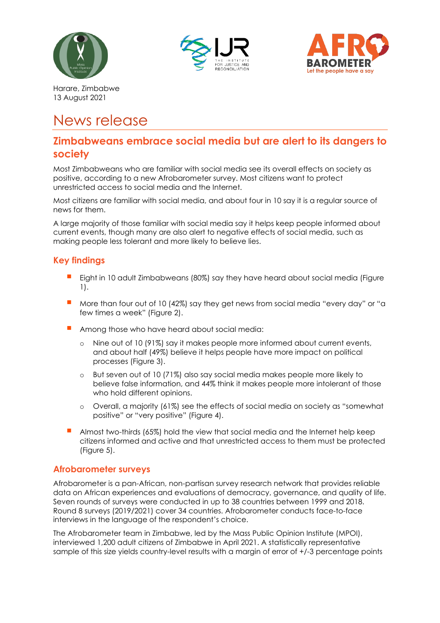





Harare, Zimbabwe 13 August 2021

# News release

### **Zimbabweans embrace social media but are alert to its dangers to society**

Most Zimbabweans who are familiar with social media see its overall effects on society as positive, according to a new Afrobarometer survey. Most citizens want to protect unrestricted access to social media and the Internet.

Most citizens are familiar with social media, and about four in 10 say it is a regular source of news for them.

A large majority of those familiar with social media say it helps keep people informed about current events, though many are also alert to negative effects of social media, such as making people less tolerant and more likely to believe lies.

#### **Key findings**

- Eight in 10 adult Zimbabweans (80%) say they have heard about social media (Figure 1).
- More than four out of 10 (42%) say they get news from social media "every day" or "a few times a week" (Figure 2).
- Among those who have heard about social media:
	- o Nine out of 10 (91%) say it makes people more informed about current events, and about half (49%) believe it helps people have more impact on political processes (Figure 3).
	- o But seven out of 10 (71%) also say social media makes people more likely to believe false information, and 44% think it makes people more intolerant of those who hold different opinions.
	- o Overall, a majority (61%) see the effects of social media on society as "somewhat positive" or "very positive" (Figure 4).
- Almost two-thirds (65%) hold the view that social media and the Internet help keep citizens informed and active and that unrestricted access to them must be protected (Figure 5).

#### **Afrobarometer surveys**

Afrobarometer is a pan-African, non-partisan survey research network that provides reliable data on African experiences and evaluations of democracy, governance, and quality of life. Seven rounds of surveys were conducted in up to 38 countries between 1999 and 2018. Round 8 surveys (2019/2021) cover 34 countries. Afrobarometer conducts face-to-face interviews in the language of the respondent's choice.

The Afrobarometer team in Zimbabwe, led by the Mass Public Opinion Institute (MPOI), interviewed 1,200 adult citizens of Zimbabwe in April 2021. A statistically representative sample of this size yields country-level results with a margin of error of  $+/3$  percentage points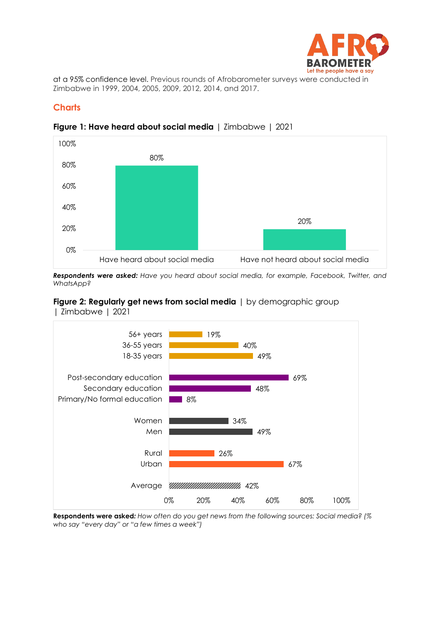

at a 95% confidence level. Previous rounds of Afrobarometer surveys were conducted in Zimbabwe in 1999, 2004, 2005, 2009, 2012, 2014, and 2017.

#### **Charts**



**Figure 1: Have heard about social media** | Zimbabwe | 2021

*Respondents were asked: Have you heard about social media, for example, Facebook, Twitter, and WhatsApp?* 

## **Figure 2: Regularly get news from social media** | by demographic group



| Zimbabwe | 2021

**Respondents were asked***: How often do you get news from the following sources: Social media? (% who say "every day" or "a few times a week")*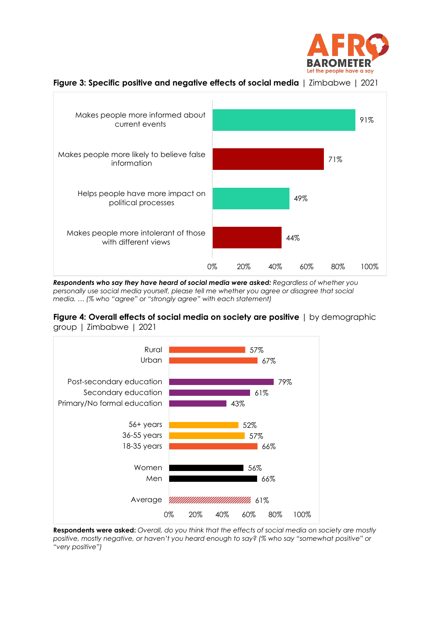



**Figure 3: Specific positive and negative effects of social media** | Zimbabwe | 2021

*Respondents who say they have heard of social media were asked: Regardless of whether you personally use social media yourself, please tell me whether you agree or disagree that social media. … (% who "agree" or "strongly agree" with each statement)*



0% 20% 40% 60% 80% 100%



**Respondents were asked:** *Overall, do you think that the effects of social media on society are mostly positive, mostly negative, or haven't you heard enough to say? (% who say "somewhat positive" or "very positive")*